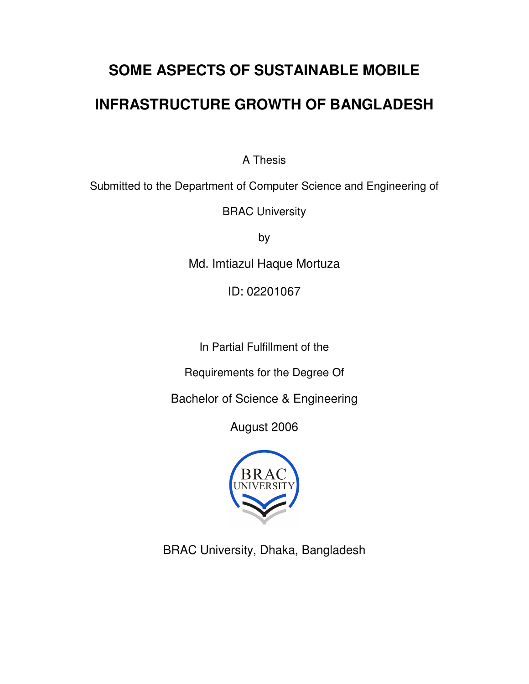# **SOME ASPECTS OF SUSTAINABLE MOBILE INFRASTRUCTURE GROWTH OF BANGLADESH**

A Thesis

Submitted to the Department of Computer Science and Engineering of

BRAC University

by

Md. Imtiazul Haque Mortuza

ID: 02201067

In Partial Fulfillment of the

Requirements for the Degree Of

Bachelor of Science & Engineering

August 2006



BRAC University, Dhaka, Bangladesh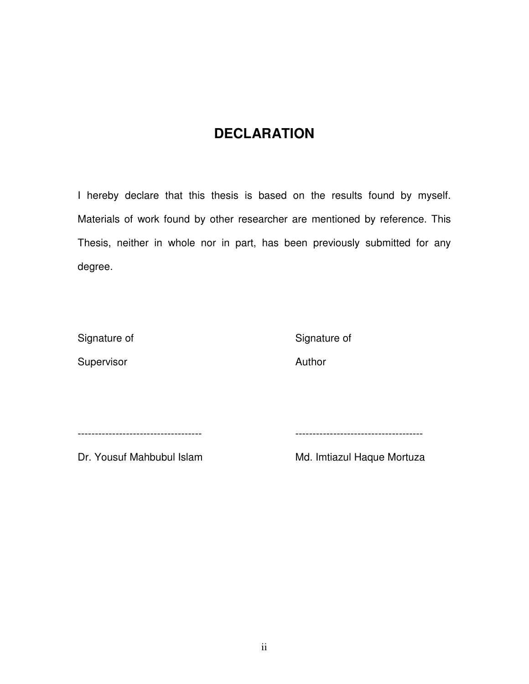# **DECLARATION**

I hereby declare that this thesis is based on the results found by myself. Materials of work found by other researcher are mentioned by reference. This Thesis, neither in whole nor in part, has been previously submitted for any degree.

Signature of Signature of Signature of Signature of Signature of Signature of Signature of Signature of Signature of Signature of Signature of Signature of Signature of Signature of Signature of Signature of Signature of S

Supervisor **Author** 

------------------------------------ -------------------------------------

Dr. Yousuf Mahbubul Islam Md. Imtiazul Haque Mortuza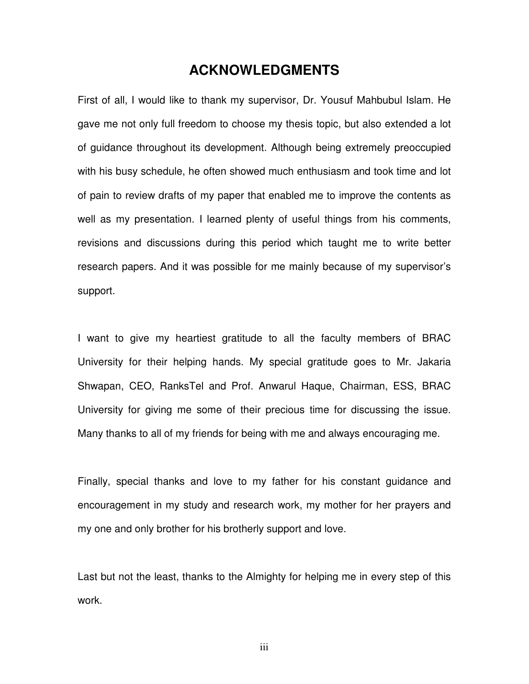# **ACKNOWLEDGMENTS**

First of all, I would like to thank my supervisor, Dr. Yousuf Mahbubul Islam. He gave me not only full freedom to choose my thesis topic, but also extended a lot of guidance throughout its development. Although being extremely preoccupied with his busy schedule, he often showed much enthusiasm and took time and lot of pain to review drafts of my paper that enabled me to improve the contents as well as my presentation. I learned plenty of useful things from his comments, revisions and discussions during this period which taught me to write better research papers. And it was possible for me mainly because of my supervisor's support.

I want to give my heartiest gratitude to all the faculty members of BRAC University for their helping hands. My special gratitude goes to Mr. Jakaria Shwapan, CEO, RanksTel and Prof. Anwarul Haque, Chairman, ESS, BRAC University for giving me some of their precious time for discussing the issue. Many thanks to all of my friends for being with me and always encouraging me.

Finally, special thanks and love to my father for his constant guidance and encouragement in my study and research work, my mother for her prayers and my one and only brother for his brotherly support and love.

Last but not the least, thanks to the Almighty for helping me in every step of this work.

iii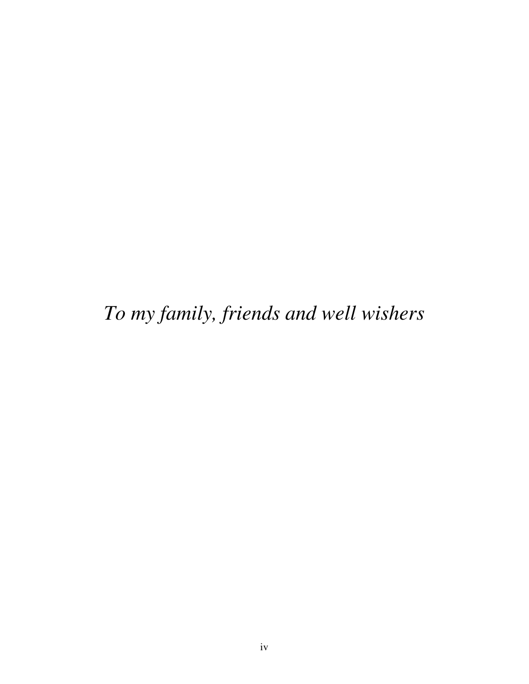*To my family, friends and well wishers*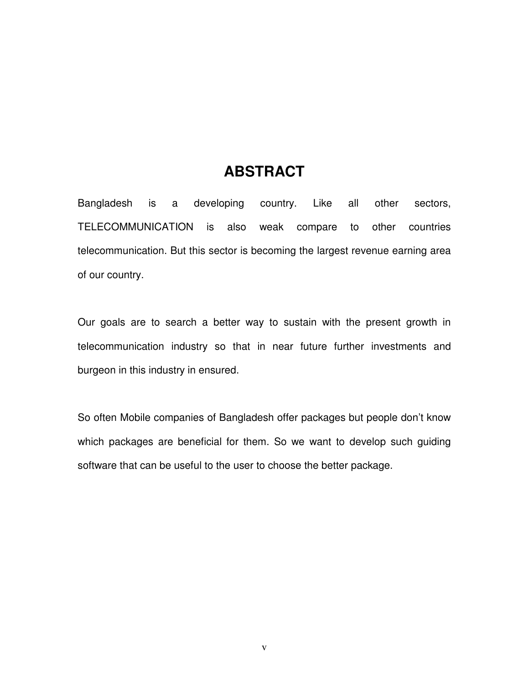# **ABSTRACT**

Bangladesh is a developing country. Like all other sectors, TELECOMMUNICATION is also weak compare to other countries telecommunication. But this sector is becoming the largest revenue earning area of our country.

Our goals are to search a better way to sustain with the present growth in telecommunication industry so that in near future further investments and burgeon in this industry in ensured.

So often Mobile companies of Bangladesh offer packages but people don't know which packages are beneficial for them. So we want to develop such guiding software that can be useful to the user to choose the better package.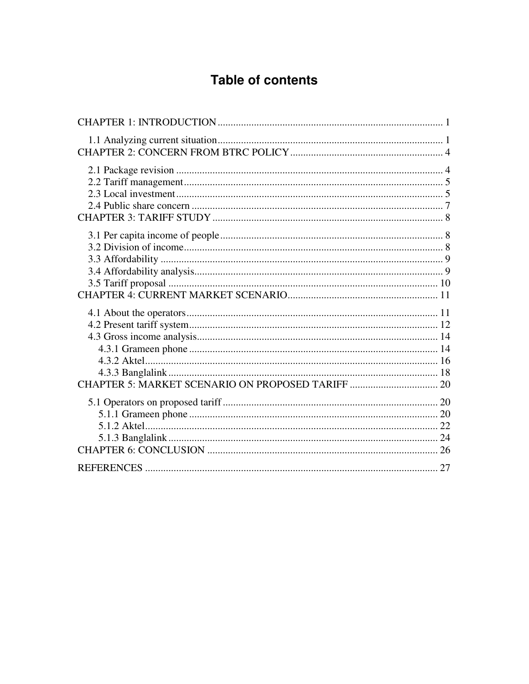# **Table of contents**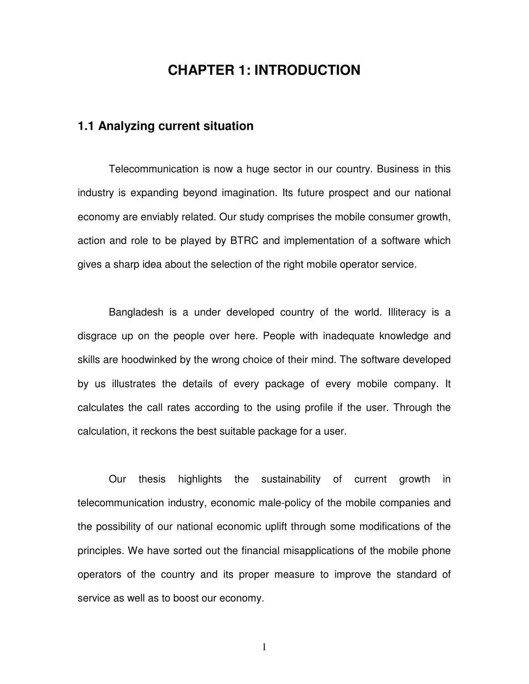# **CHAPTER 1: INTRODUCTION**

### **1.1 Analyzing current situation**

Telecommunication is now a huge sector in our country. Business in this industry is expanding beyond imagination. Its future prospect and our national economy are enviably related. Our study comprises the mobile consumer growth, action and role to be played by BTRC and implementation of a software which gives a sharp idea about the selection of the right mobile operator service.

Bangladesh is a under developed country of the world. Illiteracy is a disgrace up on the people over here. People with inadequate knowledge and skills are hoodwinked by the wrong choice of their mind. The software developed by us illustrates the details of every package of every mobile company. It calculates the call rates according to the using profile if the user. Through the calculation, it reckons the best suitable package for a user.

Our thesis highlights the sustainability of current growth in telecommunication industry, economic male-policy of the mobile companies and the possibility of our national economic uplift through some modifications of the principles. We have sorted out the financial misapplications of the mobile phone operators of the country and its proper measure to improve the standard of service as well as to boost our economy.

1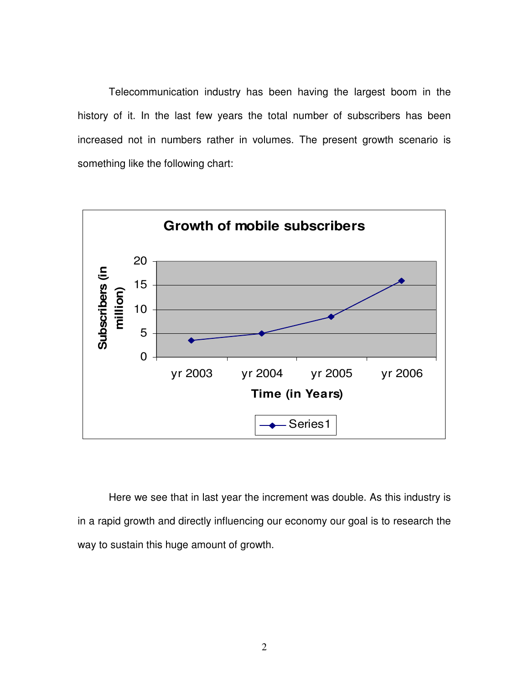Telecommunication industry has been having the largest boom in the history of it. In the last few years the total number of subscribers has been increased not in numbers rather in volumes. The present growth scenario is something like the following chart:



Here we see that in last year the increment was double. As this industry is in a rapid growth and directly influencing our economy our goal is to research the way to sustain this huge amount of growth.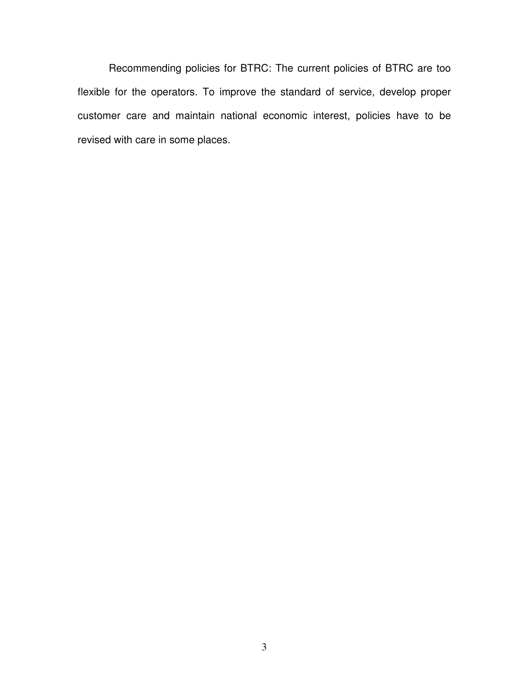Recommending policies for BTRC: The current policies of BTRC are too flexible for the operators. To improve the standard of service, develop proper customer care and maintain national economic interest, policies have to be revised with care in some places.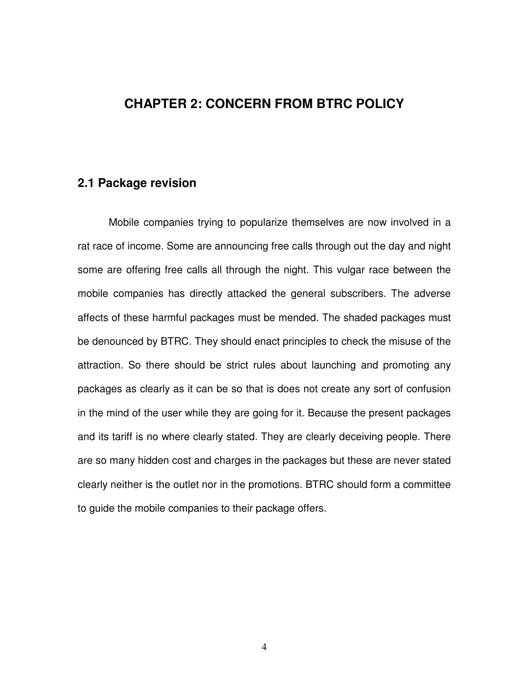# **CHAPTER 2: CONCERN FROM BTRC POLICY**

### **2.1 Package revision**

Mobile companies trying to popularize themselves are now involved in a rat race of income. Some are announcing free calls through out the day and night some are offering free calls all through the night. This vulgar race between the mobile companies has directly attacked the general subscribers. The adverse affects of these harmful packages must be mended. The shaded packages must be denounced by BTRC. They should enact principles to check the misuse of the attraction. So there should be strict rules about launching and promoting any packages as clearly as it can be so that is does not create any sort of confusion in the mind of the user while they are going for it. Because the present packages and its tariff is no where clearly stated. They are clearly deceiving people. There are so many hidden cost and charges in the packages but these are never stated clearly neither is the outlet nor in the promotions. BTRC should form a committee to guide the mobile companies to their package offers.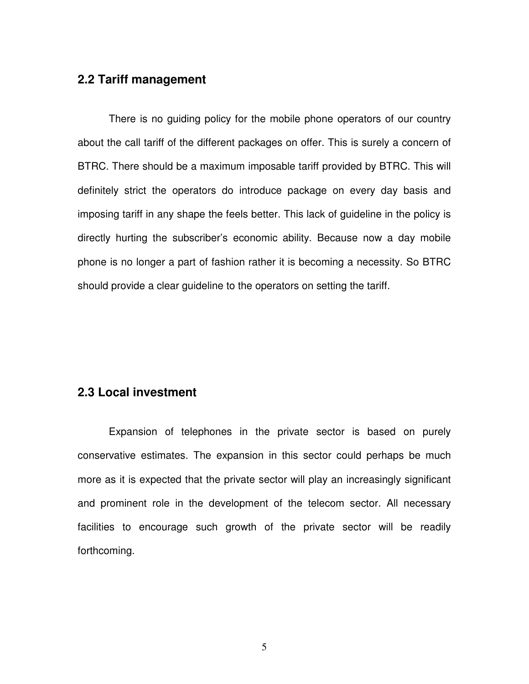### **2.2 Tariff management**

There is no guiding policy for the mobile phone operators of our country about the call tariff of the different packages on offer. This is surely a concern of BTRC. There should be a maximum imposable tariff provided by BTRC. This will definitely strict the operators do introduce package on every day basis and imposing tariff in any shape the feels better. This lack of guideline in the policy is directly hurting the subscriber's economic ability. Because now a day mobile phone is no longer a part of fashion rather it is becoming a necessity. So BTRC should provide a clear guideline to the operators on setting the tariff.

### **2.3 Local investment**

Expansion of telephones in the private sector is based on purely conservative estimates. The expansion in this sector could perhaps be much more as it is expected that the private sector will play an increasingly significant and prominent role in the development of the telecom sector. All necessary facilities to encourage such growth of the private sector will be readily forthcoming.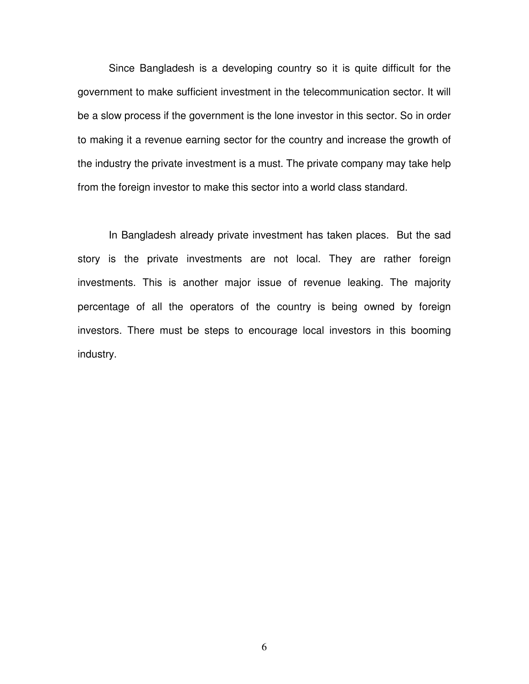Since Bangladesh is a developing country so it is quite difficult for the government to make sufficient investment in the telecommunication sector. It will be a slow process if the government is the lone investor in this sector. So in order to making it a revenue earning sector for the country and increase the growth of the industry the private investment is a must. The private company may take help from the foreign investor to make this sector into a world class standard.

 In Bangladesh already private investment has taken places. But the sad story is the private investments are not local. They are rather foreign investments. This is another major issue of revenue leaking. The majority percentage of all the operators of the country is being owned by foreign investors. There must be steps to encourage local investors in this booming industry.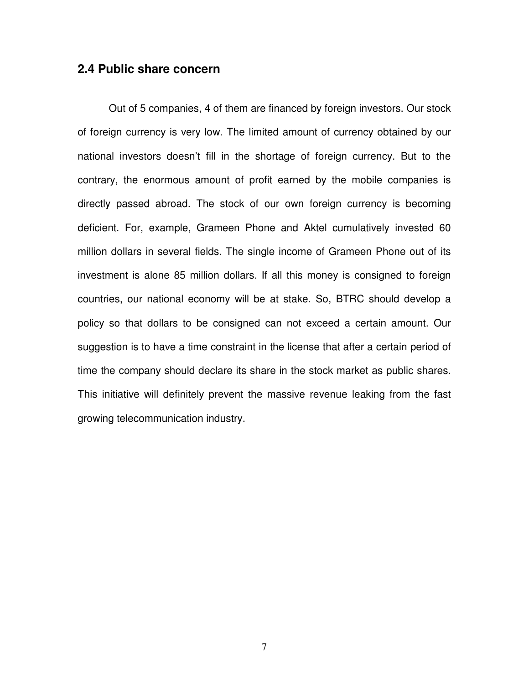### **2.4 Public share concern**

Out of 5 companies, 4 of them are financed by foreign investors. Our stock of foreign currency is very low. The limited amount of currency obtained by our national investors doesn't fill in the shortage of foreign currency. But to the contrary, the enormous amount of profit earned by the mobile companies is directly passed abroad. The stock of our own foreign currency is becoming deficient. For, example, Grameen Phone and Aktel cumulatively invested 60 million dollars in several fields. The single income of Grameen Phone out of its investment is alone 85 million dollars. If all this money is consigned to foreign countries, our national economy will be at stake. So, BTRC should develop a policy so that dollars to be consigned can not exceed a certain amount. Our suggestion is to have a time constraint in the license that after a certain period of time the company should declare its share in the stock market as public shares. This initiative will definitely prevent the massive revenue leaking from the fast growing telecommunication industry.

7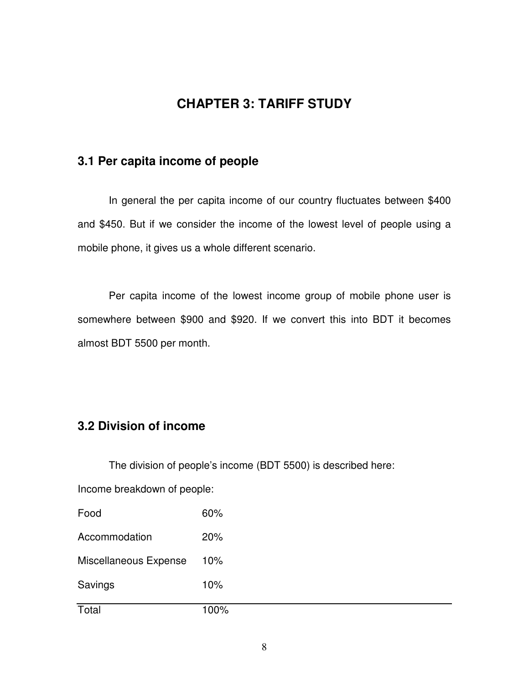# **CHAPTER 3: TARIFF STUDY**

# **3.1 Per capita income of people**

In general the per capita income of our country fluctuates between \$400 and \$450. But if we consider the income of the lowest level of people using a mobile phone, it gives us a whole different scenario.

Per capita income of the lowest income group of mobile phone user is somewhere between \$900 and \$920. If we convert this into BDT it becomes almost BDT 5500 per month.

# **3.2 Division of income**

The division of people's income (BDT 5500) is described here:

Income breakdown of people:

| Total                 | 100% |
|-----------------------|------|
| Savings               | 10%  |
| Miscellaneous Expense | 10%  |
| Accommodation         | 20%  |
| Food                  | 60%  |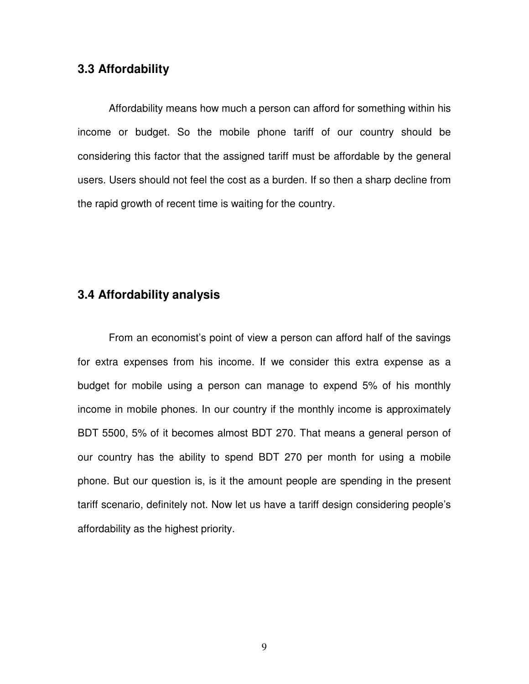#### **3.3 Affordability**

Affordability means how much a person can afford for something within his income or budget. So the mobile phone tariff of our country should be considering this factor that the assigned tariff must be affordable by the general users. Users should not feel the cost as a burden. If so then a sharp decline from the rapid growth of recent time is waiting for the country.

#### **3.4 Affordability analysis**

From an economist's point of view a person can afford half of the savings for extra expenses from his income. If we consider this extra expense as a budget for mobile using a person can manage to expend 5% of his monthly income in mobile phones. In our country if the monthly income is approximately BDT 5500, 5% of it becomes almost BDT 270. That means a general person of our country has the ability to spend BDT 270 per month for using a mobile phone. But our question is, is it the amount people are spending in the present tariff scenario, definitely not. Now let us have a tariff design considering people's affordability as the highest priority.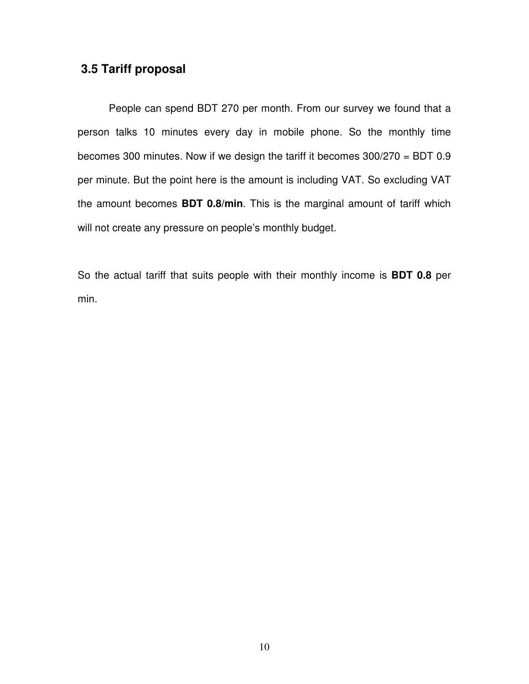### **3.5 Tariff proposal**

 People can spend BDT 270 per month. From our survey we found that a person talks 10 minutes every day in mobile phone. So the monthly time becomes 300 minutes. Now if we design the tariff it becomes 300/270 = BDT 0.9 per minute. But the point here is the amount is including VAT. So excluding VAT the amount becomes **BDT 0.8/min**. This is the marginal amount of tariff which will not create any pressure on people's monthly budget.

So the actual tariff that suits people with their monthly income is **BDT 0.8** per min.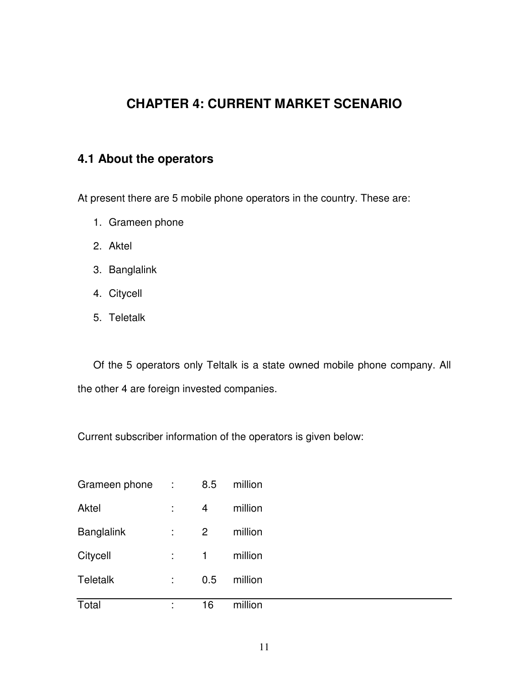# **CHAPTER 4: CURRENT MARKET SCENARIO**

# **4.1 About the operators**

At present there are 5 mobile phone operators in the country. These are:

- 1. Grameen phone
- 2. Aktel
- 3. Banglalink
- 4. Citycell
- 5. Teletalk

Of the 5 operators only Teltalk is a state owned mobile phone company. All the other 4 are foreign invested companies.

Current subscriber information of the operators is given below:

| Grameen phone     |   | 8.5 | million |  |
|-------------------|---|-----|---------|--|
| Aktel             |   | 4   | million |  |
| <b>Banglalink</b> |   | 2   | million |  |
| Citycell          |   | 1   | million |  |
| <b>Teletalk</b>   |   | 0.5 | million |  |
| Total             | ٠ | 16  | million |  |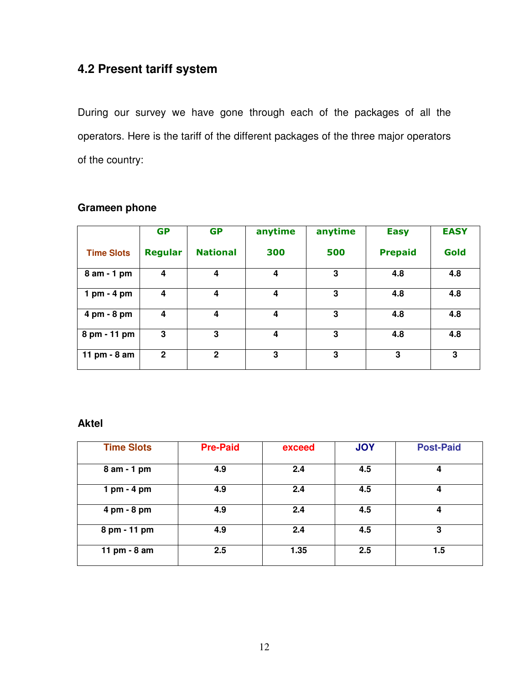# **4.2 Present tariff system**

During our survey we have gone through each of the packages of all the operators. Here is the tariff of the different packages of the three major operators of the country:

|                   | <b>GP</b>      | <b>GP</b>       | anytime | anytime | <b>Easy</b>    | <b>EASY</b> |
|-------------------|----------------|-----------------|---------|---------|----------------|-------------|
| <b>Time Slots</b> | <b>Regular</b> | <b>National</b> | 300     | 500     | <b>Prepaid</b> | Gold        |
| 8 am - 1 pm       | 4              | 4               | 4       | 3       | 4.8            | 4.8         |
| $1$ pm - $4$ pm   | 4              | 4               | 4       | 3       | 4.8            | 4.8         |
| 4 pm - 8 pm       | 4              | 4               | 4       | 3       | 4.8            | 4.8         |
| 8 pm - 11 pm      | 3              | 3               | 4       | 3       | 4.8            | 4.8         |
| 11 pm - 8 am      | $\overline{2}$ | $\mathbf{2}$    | 3       | 3       | $\mathbf{3}$   | 3           |

#### **Grameen phone**

#### **Aktel**

| <b>Time Slots</b> | <b>Pre-Paid</b> | exceed | <b>JOY</b> | <b>Post-Paid</b> |
|-------------------|-----------------|--------|------------|------------------|
| 8 am - 1 pm       | 4.9             | 2.4    | 4.5        | 4                |
| 1 pm - 4 pm       | 4.9             | 2.4    | 4.5        | 4                |
| 4 pm - 8 pm       | 4.9             | 2.4    | 4.5        | 4                |
| 8 pm - 11 pm      | 4.9             | 2.4    | 4.5        | 3                |
| 11 pm - 8 am      | 2.5             | 1.35   | 2.5        | 1.5              |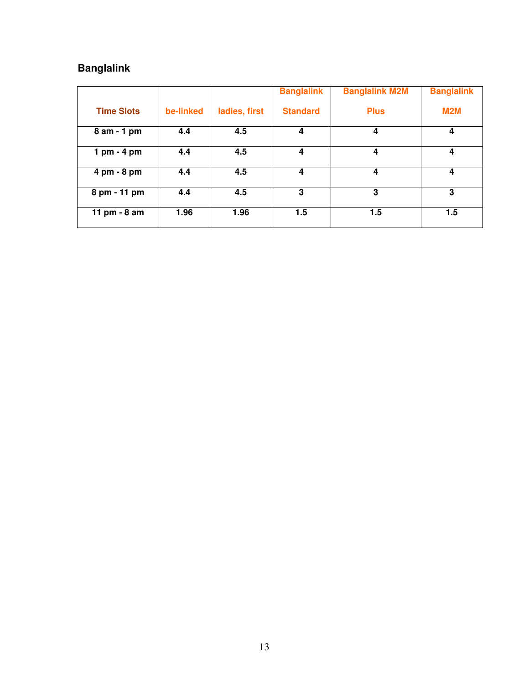# **Banglalink**

|                   |           |               | <b>Banglalink</b> | <b>Banglalink M2M</b> | <b>Banglalink</b> |
|-------------------|-----------|---------------|-------------------|-----------------------|-------------------|
| <b>Time Slots</b> | be-linked | ladies, first | <b>Standard</b>   | <b>Plus</b>           | <b>M2M</b>        |
| 8 am - 1 pm       | 4.4       | 4.5           | 4                 | 4                     | 4                 |
| $1$ pm - $4$ pm   | 4.4       | 4.5           | 4                 | 4                     | 4                 |
| 4 pm - 8 pm       | 4.4       | 4.5           | 4                 | 4                     | 4                 |
| 8 pm - 11 pm      | 4.4       | 4.5           | 3                 | 3                     | 3                 |
| 11 pm - 8 am      | 1.96      | 1.96          | 1.5               | 1.5                   | 1.5               |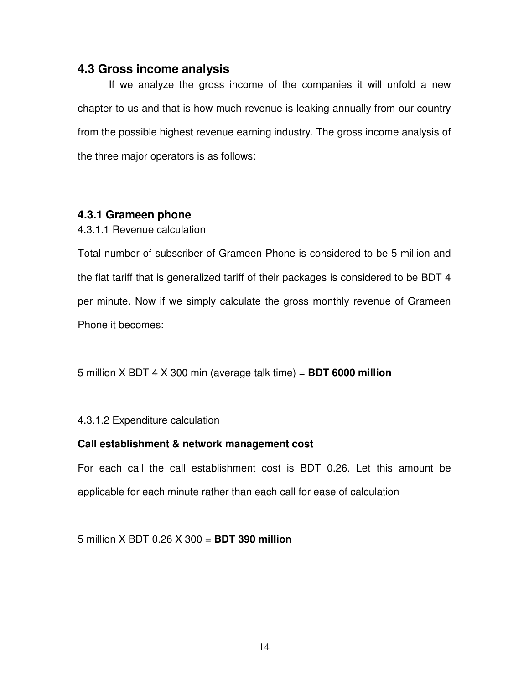#### **4.3 Gross income analysis**

If we analyze the gross income of the companies it will unfold a new chapter to us and that is how much revenue is leaking annually from our country from the possible highest revenue earning industry. The gross income analysis of the three major operators is as follows:

#### **4.3.1 Grameen phone**

4.3.1.1 Revenue calculation

Total number of subscriber of Grameen Phone is considered to be 5 million and the flat tariff that is generalized tariff of their packages is considered to be BDT 4 per minute. Now if we simply calculate the gross monthly revenue of Grameen Phone it becomes:

5 million X BDT 4 X 300 min (average talk time) = **BDT 6000 million** 

4.3.1.2 Expenditure calculation

#### **Call establishment & network management cost**

For each call the call establishment cost is BDT 0.26. Let this amount be applicable for each minute rather than each call for ease of calculation

5 million X BDT 0.26 X 300 = **BDT 390 million**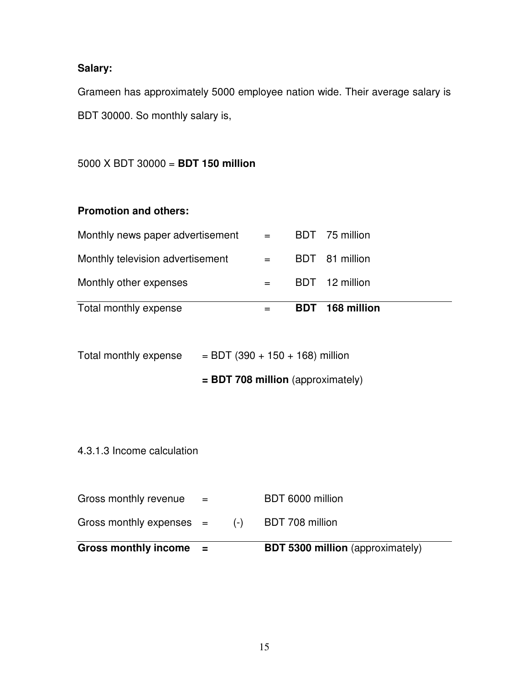# **Salary:**

Grameen has approximately 5000 employee nation wide. Their average salary is BDT 30000. So monthly salary is,

5000 X BDT 30000 = **BDT 150 million** 

### **Promotion and others:**

| Monthly television advertisement | and the state of the | BDT 81 million  |
|----------------------------------|----------------------|-----------------|
| Monthly other expenses           |                      | BDT 12 million  |
| Total monthly expense            |                      | BDT 168 million |

| Total monthly expense | $=$ BDT (390 + 150 + 168) million |
|-----------------------|-----------------------------------|
|-----------------------|-----------------------------------|

### **= BDT 708 million** (approximately)

4.3.1.3 Income calculation

| <b>Gross monthly income</b> | $\mathbf{r}$ |       | <b>BDT 5300 million</b> (approximately) |
|-----------------------------|--------------|-------|-----------------------------------------|
| Gross monthly expenses $=$  |              | $(-)$ | BDT 708 million                         |
| Gross monthly revenue       | $=$          |       | BDT 6000 million                        |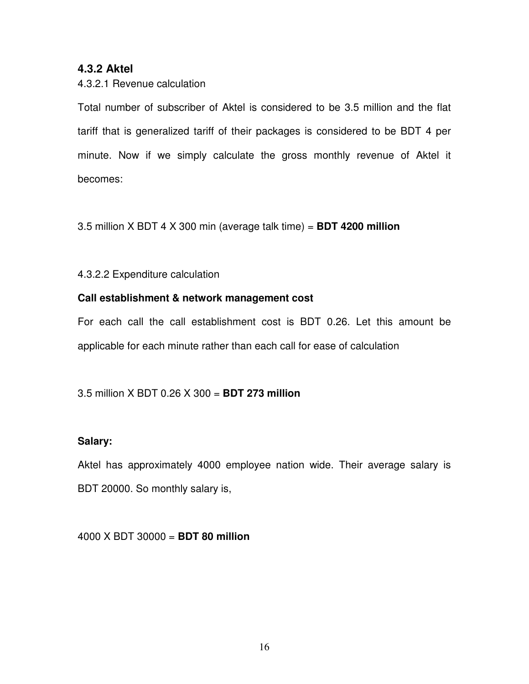#### **4.3.2 Aktel**

#### 4.3.2.1 Revenue calculation

Total number of subscriber of Aktel is considered to be 3.5 million and the flat tariff that is generalized tariff of their packages is considered to be BDT 4 per minute. Now if we simply calculate the gross monthly revenue of Aktel it becomes:

3.5 million X BDT 4 X 300 min (average talk time) = **BDT 4200 million** 

#### 4.3.2.2 Expenditure calculation

#### **Call establishment & network management cost**

For each call the call establishment cost is BDT 0.26. Let this amount be applicable for each minute rather than each call for ease of calculation

#### 3.5 million X BDT 0.26 X 300 = **BDT 273 million**

#### **Salary:**

Aktel has approximately 4000 employee nation wide. Their average salary is BDT 20000. So monthly salary is,

4000 X BDT 30000 = **BDT 80 million**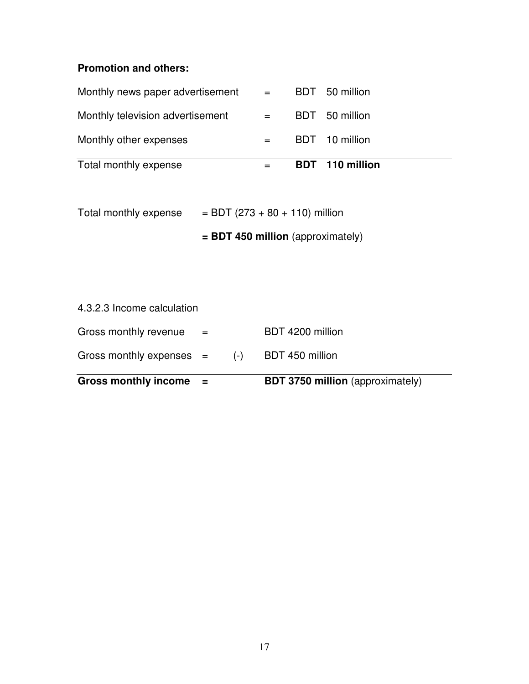# **Promotion and others:**

| Total monthly expense            |                           | <b>BDT</b> 110 million |
|----------------------------------|---------------------------|------------------------|
| Monthly other expenses           |                           | BDT 10 million         |
| Monthly television advertisement | $\alpha = 1$ and $\alpha$ | BDT 50 million         |
| Monthly news paper advertisement | $\alpha_{\rm c} = 0.000$  | BDT 50 million         |

| Total monthly expense | $=$ BDT (273 + 80 + 110) million |
|-----------------------|----------------------------------|
|-----------------------|----------------------------------|

 **= BDT 450 million** (approximately)

 $\overline{\phantom{0}}$ 

| <b>Gross monthly income</b> | $\mathbf{r}$              |       | <b>BDT 3750 million</b> (approximately) |
|-----------------------------|---------------------------|-------|-----------------------------------------|
| Gross monthly expenses $=$  |                           | $(-)$ | BDT 450 million                         |
| Gross monthly revenue       | $\mathbf{r} = \mathbf{r}$ |       | BDT 4200 million                        |
| 4.3.2.3 Income calculation  |                           |       |                                         |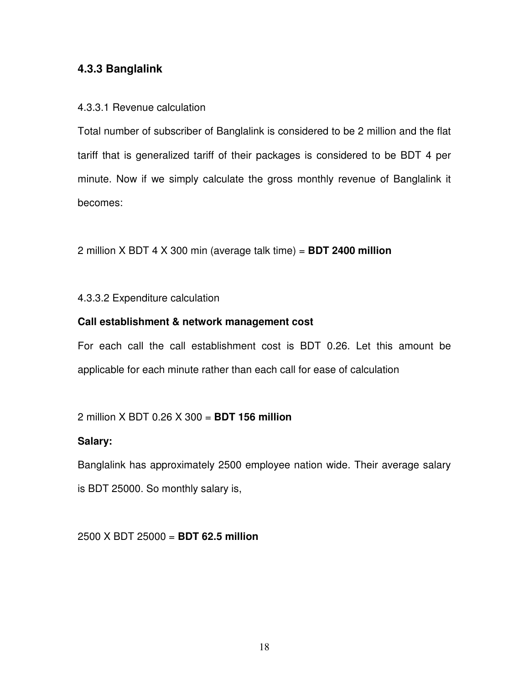#### **4.3.3 Banglalink**

#### 4.3.3.1 Revenue calculation

Total number of subscriber of Banglalink is considered to be 2 million and the flat tariff that is generalized tariff of their packages is considered to be BDT 4 per minute. Now if we simply calculate the gross monthly revenue of Banglalink it becomes:

2 million X BDT 4 X 300 min (average talk time) = **BDT 2400 million** 

4.3.3.2 Expenditure calculation

#### **Call establishment & network management cost**

For each call the call establishment cost is BDT 0.26. Let this amount be applicable for each minute rather than each call for ease of calculation

#### 2 million X BDT 0.26 X 300 = **BDT 156 million**

#### **Salary:**

Banglalink has approximately 2500 employee nation wide. Their average salary is BDT 25000. So monthly salary is,

2500 X BDT 25000 = **BDT 62.5 million**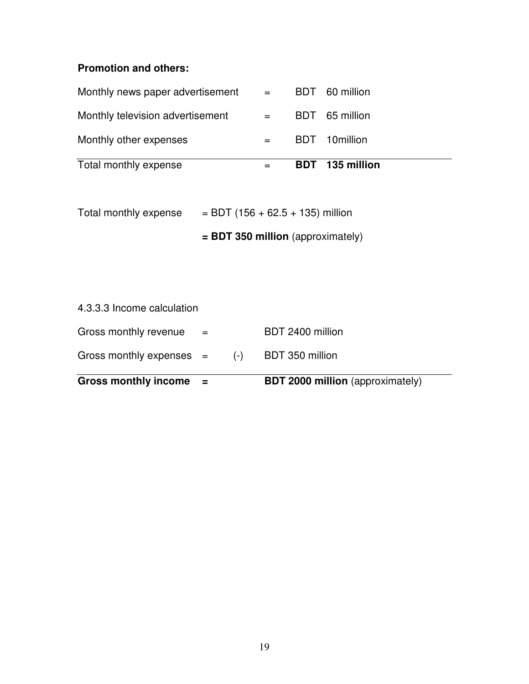# **Promotion and others:**

| Total monthly expense            |                                                                                            | BDT 135 million |
|----------------------------------|--------------------------------------------------------------------------------------------|-----------------|
| Monthly other expenses           |                                                                                            | BDT 10million   |
| Monthly television advertisement | $\alpha = 0.000$                                                                           | BDT 65 million  |
| Monthly news paper advertisement | $\mathcal{L}^{\mathcal{L}}(x) = \mathcal{L}^{\mathcal{L}}(x) \mathcal{L}^{\mathcal{L}}(x)$ | BDT 60 million  |

| Total monthly expense | $=$ BDT (156 + 62.5 + 135) million |
|-----------------------|------------------------------------|
|-----------------------|------------------------------------|

 **= BDT 350 million** (approximately)

| <b>Gross monthly income</b> | <b>Section</b> |       | <b>BDT 2000 million</b> (approximately) |
|-----------------------------|----------------|-------|-----------------------------------------|
| Gross monthly expenses $=$  |                | $(-)$ | BDT 350 million                         |
| Gross monthly revenue       | $\equiv$       |       | BDT 2400 million                        |
| 4.3.3.3 Income calculation  |                |       |                                         |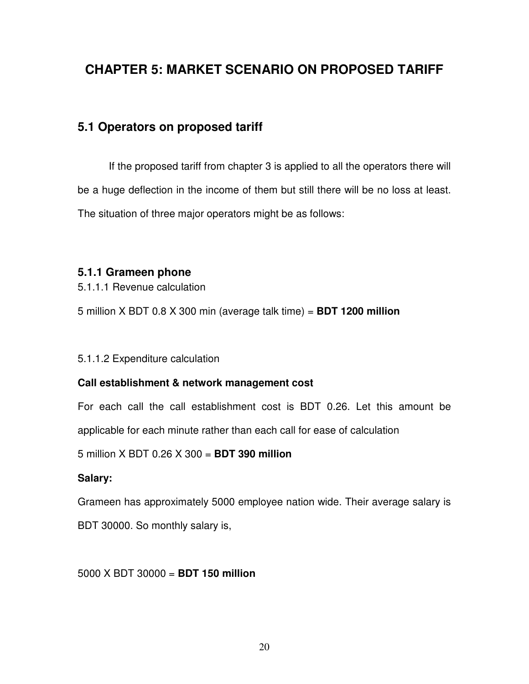# **CHAPTER 5: MARKET SCENARIO ON PROPOSED TARIFF**

# **5.1 Operators on proposed tariff**

 If the proposed tariff from chapter 3 is applied to all the operators there will be a huge deflection in the income of them but still there will be no loss at least. The situation of three major operators might be as follows:

#### **5.1.1 Grameen phone**

5.1.1.1 Revenue calculation

5 million X BDT 0.8 X 300 min (average talk time) = **BDT 1200 million** 

#### 5.1.1.2 Expenditure calculation

#### **Call establishment & network management cost**

For each call the call establishment cost is BDT 0.26. Let this amount be applicable for each minute rather than each call for ease of calculation

5 million X BDT 0.26 X 300 = **BDT 390 million** 

#### **Salary:**

Grameen has approximately 5000 employee nation wide. Their average salary is

BDT 30000. So monthly salary is,

#### 5000 X BDT 30000 = **BDT 150 million**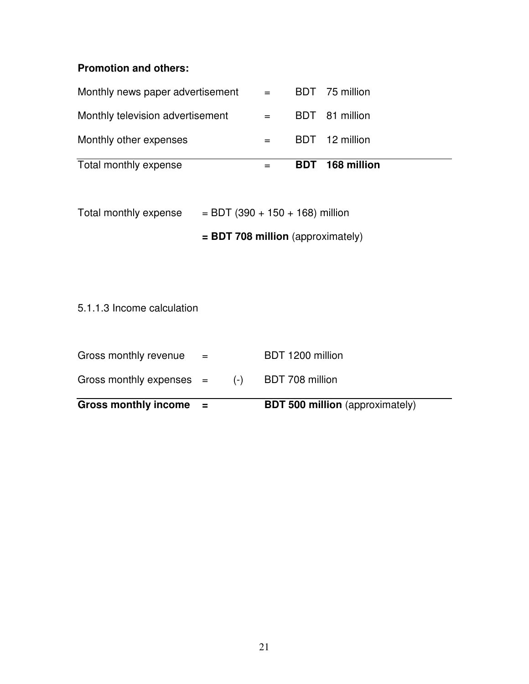# **Promotion and others:**

| Total monthly expense            |                           | BDT 168 million |
|----------------------------------|---------------------------|-----------------|
| Monthly other expenses           |                           | BDT 12 million  |
| Monthly television advertisement | $\alpha = 1$ and $\alpha$ | BDT 81 million  |
| Monthly news paper advertisement | $\mathbf{r} = \mathbf{r}$ | BDT 75 million  |

|                       | $=$ BDT 708 million (approximately) |
|-----------------------|-------------------------------------|
| Total monthly expense | $=$ BDT (390 + 150 + 168) million   |

5.1.1.3 Income calculation

| Gross monthly income $=$   |                      |       | <b>BDT 500 million</b> (approximately) |
|----------------------------|----------------------|-------|----------------------------------------|
| Gross monthly expenses $=$ |                      | $(-)$ | BDT 708 million                        |
| Gross monthly revenue      | $\sim$ $\sim$ $\sim$ |       | BDT 1200 million                       |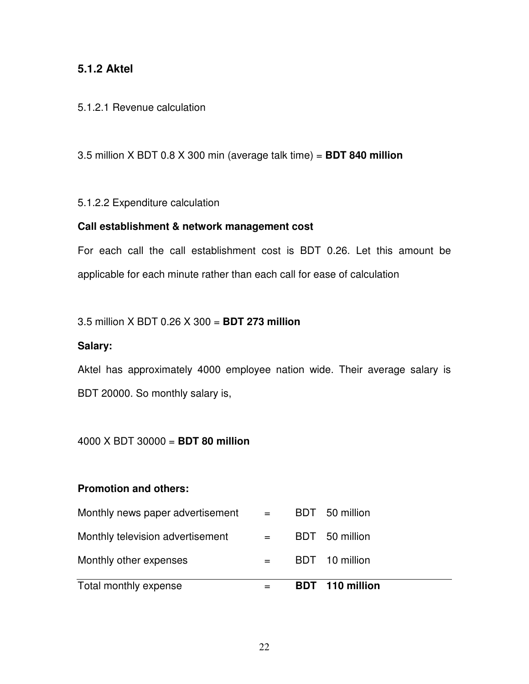#### **5.1.2 Aktel**

#### 5.1.2.1 Revenue calculation

3.5 million X BDT 0.8 X 300 min (average talk time) = **BDT 840 million** 

#### 5.1.2.2 Expenditure calculation

#### **Call establishment & network management cost**

For each call the call establishment cost is BDT 0.26. Let this amount be applicable for each minute rather than each call for ease of calculation

#### 3.5 million X BDT 0.26 X 300 = **BDT 273 million**

#### **Salary:**

Aktel has approximately 4000 employee nation wide. Their average salary is BDT 20000. So monthly salary is,

#### 4000 X BDT 30000 = **BDT 80 million**

#### **Promotion and others:**

| Total monthly expense            |                         | <b>BDT</b> 110 million |
|----------------------------------|-------------------------|------------------------|
| Monthly other expenses           | $=$                     | BDT 10 million         |
| Monthly television advertisement | $=$ $-$                 | BDT 50 million         |
| Monthly news paper advertisement | $\alpha_{\rm c} = 0.01$ | BDT 50 million         |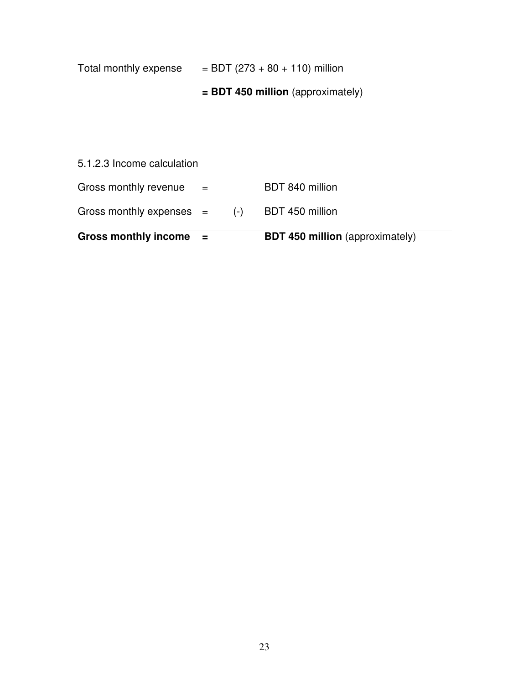| <b>Gross monthly income</b> | $=$                                 |       | <b>BDT 450 million</b> (approximately) |  |  |
|-----------------------------|-------------------------------------|-------|----------------------------------------|--|--|
| Gross monthly expenses $=$  |                                     | $(-)$ | BDT 450 million                        |  |  |
| Gross monthly revenue       | $=$                                 |       | BDT 840 million                        |  |  |
| 5.1.2.3 Income calculation  |                                     |       |                                        |  |  |
|                             |                                     |       |                                        |  |  |
|                             | $=$ BDT 450 million (approximately) |       |                                        |  |  |
| Total monthly expense       |                                     |       | $=$ BDT (273 + 80 + 110) million       |  |  |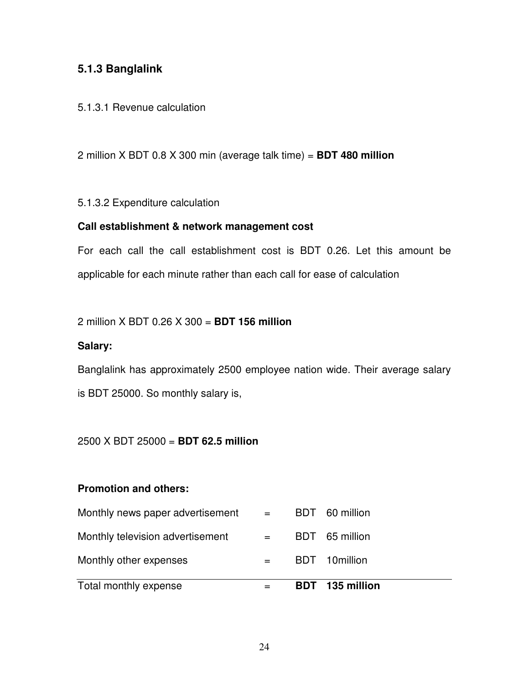### **5.1.3 Banglalink**

#### 5.1.3.1 Revenue calculation

2 million X BDT 0.8 X 300 min (average talk time) = **BDT 480 million** 

#### 5.1.3.2 Expenditure calculation

#### **Call establishment & network management cost**

For each call the call establishment cost is BDT 0.26. Let this amount be applicable for each minute rather than each call for ease of calculation

#### 2 million X BDT 0.26 X 300 = **BDT 156 million**

#### **Salary:**

Banglalink has approximately 2500 employee nation wide. Their average salary is BDT 25000. So monthly salary is,

#### 2500 X BDT 25000 = **BDT 62.5 million**

#### **Promotion and others:**

| Total monthly expense            |                           | BDT 135 million |
|----------------------------------|---------------------------|-----------------|
| Monthly other expenses           |                           | BDT 10million   |
| Monthly television advertisement | $\alpha = 1$ .            | BDT 65 million  |
| Monthly news paper advertisement | $\mathbf{r} = \mathbf{r}$ | BDT 60 million  |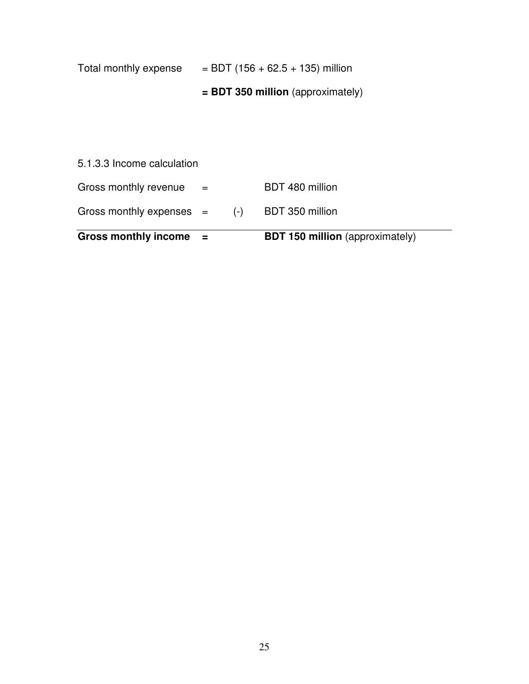| Total monthly expense       |     |       | $=$ BDT (156 + 62.5 + 135) million     |
|-----------------------------|-----|-------|----------------------------------------|
|                             |     |       | $=$ BDT 350 million (approximately)    |
|                             |     |       |                                        |
|                             |     |       |                                        |
| 5.1.3.3 Income calculation  |     |       |                                        |
| Gross monthly revenue       | $=$ |       | BDT 480 million                        |
| Gross monthly expenses $=$  |     | $(-)$ | BDT 350 million                        |
| <b>Gross monthly income</b> |     |       | <b>BDT 150 million</b> (approximately) |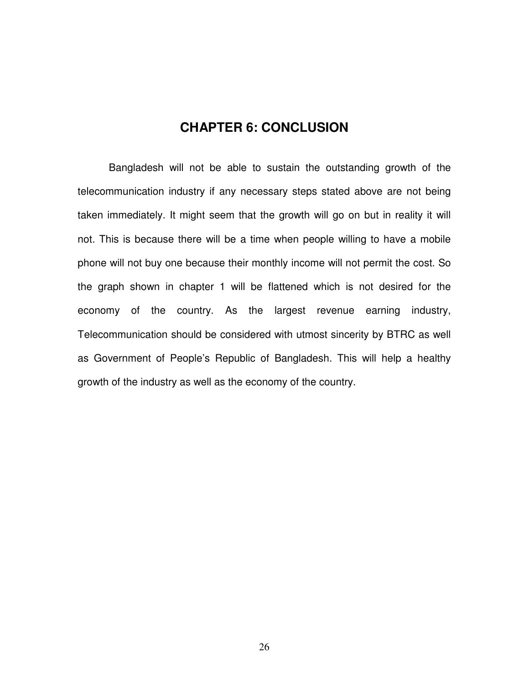### **CHAPTER 6: CONCLUSION**

 Bangladesh will not be able to sustain the outstanding growth of the telecommunication industry if any necessary steps stated above are not being taken immediately. It might seem that the growth will go on but in reality it will not. This is because there will be a time when people willing to have a mobile phone will not buy one because their monthly income will not permit the cost. So the graph shown in chapter 1 will be flattened which is not desired for the economy of the country. As the largest revenue earning industry, Telecommunication should be considered with utmost sincerity by BTRC as well as Government of People's Republic of Bangladesh. This will help a healthy growth of the industry as well as the economy of the country.